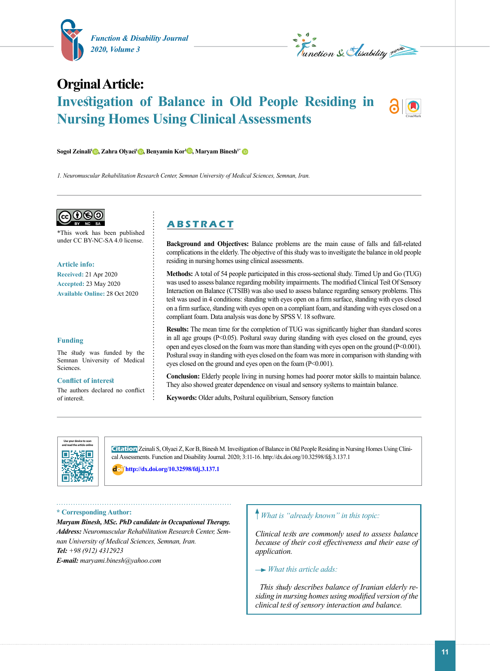

*L*<br>Tunction & *Slisability* with

# **Orginal Article: Investigation of Balance in Old People Residing in Nursing Homes Using Clinical Assessments**



*1. Neuromuscular Rehabilitation Research Center, Semnan University of Medical Sciences, Semnan, Iran.*



\*This work has been published under CC BY-NC-SA 4.0 license.

#### **Article info:**

**Received:** 21 Apr 2020 **Accepted:** 23 May 2020 **Available Online:** 28 Oct 2020

#### **Funding**

The study was funded by the Semnan University of Medical Sciences.

#### **Conflict of interest**

The authors declared no conflict of interest.

# **A B S T R A C T**

**Background and Objectives:** Balance problems are the main cause of falls and fall-related complications in the elderly. The objective of this study was to investigate the balance in old people residing in nursing homes using clinical assessments.

**Methods:** A total of 54 people participated in this cross-sectional study. Timed Up and Go (TUG) was used to assess balance regarding mobility impairments. The modified Clinical Test Of Sensory Interaction on Balance (CTSIB) was also used to assess balance regarding sensory problems. This test was used in 4 conditions: standing with eyes open on a firm surface, standing with eyes closed on a firm surface, standing with eyes open on a compliant foam, and standing with eyes closed on a compliant foam. Data analysis was done by SPSS V. 18 software.

**Results:** The mean time for the completion of TUG was significantly higher than standard scores in all age groups (P<0.05). Postural sway during standing with eyes closed on the ground, eyes open and eyes closed on the foam was more than standing with eyes open on the ground  $(P<0.001)$ . Postural sway in standing with eyes closed on the foam was more in comparison with standing with eyes closed on the ground and eyes open on the foam (P<0.001).

**Conclusion:** Elderly people living in nursing homes had poorer motor skills to maintain balance. They also showed greater dependence on visual and sensory systems to maintain balance.

**Keywords:** Older adults, Postural equilibrium, Sensory function



**Citation** Zeinali S, Olyaei Z, Kor B, Binesh M. Investigation of Balance in Old People Residing in Nursing Homes Using Clinical Assessments. Function and Disability Journal. 2020; 3:11-16. http://dx.doi.org/10.32598/fdj.3.137.1

: **<http://dx.doi.org/10.32598/fdj.3.137.1>**

**\* Corresponding Author:**

*Maryam Binesh, MSc. PhD candidate in Occupational Therapy. Address: Neuromuscular Rehabilitation Research Center, Semnan University of Medical Sciences, Semnan, Iran. Tel: +98 (912) 4312923 E-mail: maryami.binesh@yahoo.com*

# *What is "already known" in this topic:*

*Clinical tests are commonly used to assess balance because of their cost effectiveness and their ease of application.*

 *What this article adds:*

*This study describes balance of Iranian elderly residing in nursing homes using modified version of the clinical test of sensory interaction and balance.*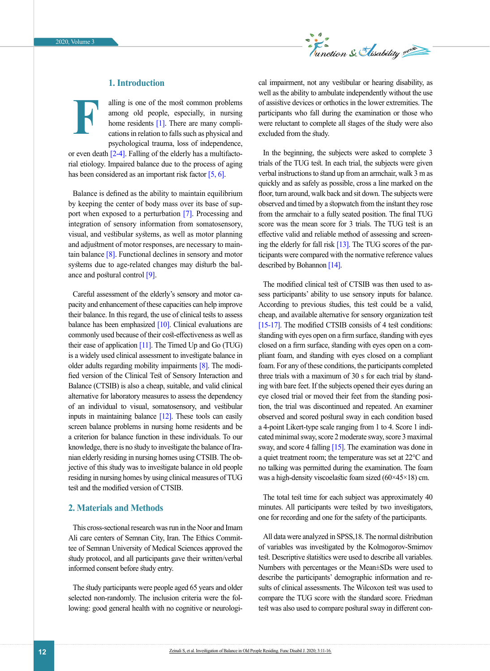

# **1. Introduction**

alling is one of the most common problems among old people, especially, in nursing home residents [\[1\]](#page-3-0). There are many complications in relation to falls such as physical and psychological trauma, loss of independence, or even death  $[2-4]$ . Falling of the elderly has a multifacto-**F**

rial etiology. Impaired balance due to the process of aging has been considered as an important risk factor [\[5,](#page-3-1) [6\]](#page-3-2).

Balance is defined as the ability to maintain equilibrium by keeping the center of body mass over its base of sup-port when exposed to a perturbation [\[7\].](#page-3-3) Processing and integration of sensory information from somatosensory, visual, and vestibular systems, as well as motor planning and adjustment of motor responses, are necessary to maintain balance [\[8\]](#page-3-4). Functional declines in sensory and motor systems due to age-related changes may disturb the bal-ance and postural control [\[9\]](#page-3-5).

Careful assessment of the elderly's sensory and motor capacity and enhancement of these capacities can help improve their balance. In this regard, the use of clinical tests to assess balance has been emphasized  $[10]$ . Clinical evaluations are commonly used because of their cost-effectiveness as well as their ease of application  $[11]$ . The Timed Up and Go (TUG) is a widely used clinical assessment to investigate balance in older adults regarding mobility impairments [\[8\]](#page-3-5). The modified version of the Clinical Test of Sensory Interaction and Balance (CTSIB) is also a cheap, suitable, and valid clinical alternative for laboratory measures to assess the dependency of an individual to visual, somatosensory, and vestibular inputs in maintaining balance [\[12\]](#page-4-1). These tools can easily screen balance problems in nursing home residents and be a criterion for balance function in these individuals. To our knowledge, there is no study to investigate the balance of Iranian elderly residing in nursing homes using CTSIB. The objective of this study was to investigate balance in old people residing in nursing homes by using clinical measures of TUG test and the modified version of CTSIB.

### **2. Materials and Methods**

This cross-sectional research was run in the Noor and Imam Ali care centers of Semnan City, Iran. The Ethics Committee of Semnan University of Medical Sciences approved the study protocol, and all participants gave their written/verbal informed consent before study entry.

The study participants were people aged 65 years and older selected non-randomly. The inclusion criteria were the following: good general health with no cognitive or neurological impairment, not any vestibular or hearing disability, as well as the ability to ambulate independently without the use of assistive devices or orthotics in the lower extremities. The participants who fall during the examination or those who were reluctant to complete all stages of the study were also excluded from the study.

In the beginning, the subjects were asked to complete 3 trials of the TUG test. In each trial, the subjects were given verbal instructions to stand up from an armchair, walk 3 m as quickly and as safely as possible, cross a line marked on the floor, turn around, walk back and sit down. The subjects were observed and timed by a stopwatch from the instant they rose from the armchair to a fully seated position. The final TUG score was the mean score for 3 trials. The TUG test is an effective valid and reliable method of assessing and screening the elderly for fall risk [\[13\].](#page-4-2) The TUG scores of the participants were compared with the normative reference values described by Bohannon [\[14\]](#page-4-3).

The modified clinical test of CTSIB was then used to assess participants' ability to use sensory inputs for balance. According to previous studies, this test could be a valid, cheap, and available alternative for sensory organization test [\[15-17\].](#page-4-4) The modified CTSIB consists of 4 test conditions: standing with eyes open on a firm surface, standing with eyes closed on a firm surface, standing with eyes open on a compliant foam, and standing with eyes closed on a compliant foam. For any of these conditions, the participants completed three trials with a maximum of 30 s for each trial by standing with bare feet. If the subjects opened their eyes during an eye closed trial or moved their feet from the standing position, the trial was discontinued and repeated. An examiner observed and scored postural sway in each condition based a 4-point Likert-type scale ranging from 1 to 4. Score 1 indicated minimal sway, score 2 moderate sway, score 3 maximal sway, and score 4 falling [\[15\].](#page-4-4) The examination was done in a quiet treatment room; the temperature was set at 22°C and no talking was permitted during the examination. The foam was a high-density viscoelastic foam sized (60×45×18) cm.

The total test time for each subject was approximately 40 minutes. All participants were tested by two investigators, one for recording and one for the safety of the participants.

All data were analyzed in SPSS,18. The normal distribution of variables was investigated by the Kolmogorov-Smirnov test. Descriptive statistics were used to describe all variables. Numbers with percentages or the Mean±SDs were used to describe the participants' demographic information and results of clinical assessments. The Wilcoxon test was used to compare the TUG score with the standard score. Friedman test was also used to compare postural sway in different con-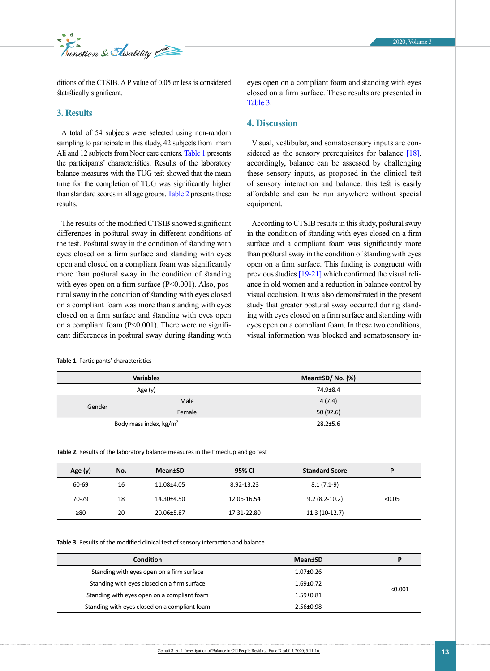

ditions of the CTSIB. A P value of 0.05 or less is considered statistically significant.

## **3. Results**

A total of 54 subjects were selected using non-random sampling to participate in this study, 42 subjects from Imam Ali and 12 subjects from Noor care centers. Table 1 presents the participants' characteristics. Results of the laboratory balance measures with the TUG test showed that the mean time for the completion of TUG was significantly higher than standard scores in all age groups. [Table 2](#page-2-0) presents these results.

The results of the modified CTSIB showed significant differences in postural sway in different conditions of the test. Postural sway in the condition of standing with eyes closed on a firm surface and standing with eyes open and closed on a compliant foam was significantly more than postural sway in the condition of standing with eyes open on a firm surface  $(P<0.001)$ . Also, postural sway in the condition of standing with eyes closed on a compliant foam was more than standing with eyes closed on a firm surface and standing with eyes open on a compliant foam (P<0.001). There were no significant differences in postural sway during standing with

**Table 1.** Participants' characteristics

eyes open on a compliant foam and standing with eyes closed on a firm surface. These results are presented in [Table 3](#page-2-1).

# **4. Discussion**

Visual, vestibular, and somatosensory inputs are con-sidered as the sensory prerequisites for balance [\[18\]](#page-4-5). accordingly, balance can be assessed by challenging these sensory inputs, as proposed in the clinical test of sensory interaction and balance. this test is easily affordable and can be run anywhere without special equipment.

According to CTSIB results in this study, postural sway in the condition of standing with eyes closed on a firm surface and a compliant foam was significantly more than postural sway in the condition of standing with eyes open on a firm surface. This finding is congruent with previous studies [\[19-21\]](#page-4-6) which confirmed the visual reliance in old women and a reduction in balance control by visual occlusion. It was also demonstrated in the present study that greater postural sway occurred during standing with eyes closed on a firm surface and standing with eyes open on a compliant foam. In these two conditions, visual information was blocked and somatosensory in-

| <b>Variables</b>                 |        | Mean±SD/No. (%) |
|----------------------------------|--------|-----------------|
| Age $(y)$                        |        | 74.9±8.4        |
| Gender                           | Male   | 4(7.4)          |
|                                  | Female | 50(92.6)        |
| Body mass index, $\text{kg/m}^2$ |        | $28.2 \pm 5.6$  |

<span id="page-2-0"></span>**Table 2.** Results of the laboratory balance measures in the timed up and go test

| Age (y)   | No. | <b>Mean</b> tSD | 95% CI      | <b>Standard Score</b> | D      |
|-----------|-----|-----------------|-------------|-----------------------|--------|
| 60-69     | 16  | 11.08±4.05      | 8.92-13.23  | $8.1(7.1-9)$          |        |
| 70-79     | 18  | 14.30±4.50      | 12.06-16.54 | $9.2(8.2 - 10.2)$     | < 0.05 |
| $\geq 80$ | 20  | 20.06±5.87      | 17.31-22.80 | $11.3(10-12.7)$       |        |

<span id="page-2-1"></span>**Table 3.** Results of the modified clinical test of sensory interaction and balance

| Condition                                     | <b>Mean</b> tSD | D       |
|-----------------------------------------------|-----------------|---------|
| Standing with eyes open on a firm surface     | $1.07 \pm 0.26$ | < 0.001 |
| Standing with eyes closed on a firm surface   | $1.69 \pm 0.72$ |         |
| Standing with eyes open on a compliant foam   | $1.59 + 0.81$   |         |
| Standing with eyes closed on a compliant foam | $2.56 \pm 0.98$ |         |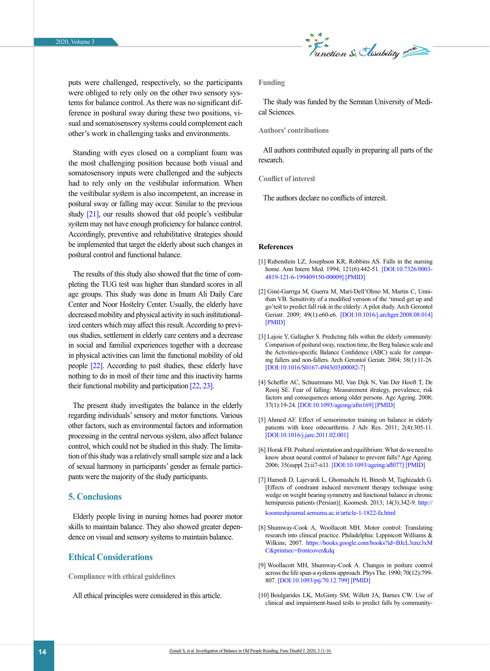

puts were challenged, respectively, so the participants were obliged to rely only on the other two sensory systems for balance control. As there was no significant difference in postural sway during these two positions, visual and somatosensory systems could complement each other's work in challenging tasks and environments.

Standing with eyes closed on a compliant foam was the most challenging position because both visual and somatosensory inputs were challenged and the subjects had to rely only on the vestibular information. When the vestibular system is also incompetent, an increase in postural sway or falling may occur. Similar to the previous study [\[21\],](#page-4-7) our results showed that old people's vestibular system may not have enough proficiency for balance control. Accordingly, preventive and rehabilitative strategies should be implemented that target the elderly about such changes in postural control and functional balance.

The results of this study also showed that the time of completing the TUG test was higher than standard scores in all age groups. This study was done in Imam Ali Daily Care Center and Noor Hostelry Center. Usually, the elderly have decreased mobility and physical activity in such institutionalized centers which may affect this result. According to previous studies, settlement in elderly care centers and a decrease in social and familial experiences together with a decrease in physical activities can limit the functional mobility of old people [22]. According to past studies, these elderly have nothing to do in most of their time and this inactivity harms their functional mobility and participation [22, [23\]](#page-4-8).

The present study investigates the balance in the elderly regarding individuals' sensory and motor functions. Various other factors, such as environmental factors and information processing in the central nervous system, also affect balance control, which could not be studied in this study. The limitation of this study was a relatively small sample size and a lack of sexual harmony in participants' gender as female participants were the majority of the study participants.

# **5. Conclusions**

Elderly people living in nursing homes had poorer motor skills to maintain balance. They also showed greater dependence on visual and sensory systems to maintain balance.

# **Ethical Considerations**

**Compliance with ethical guidelines**

All ethical principles were considered in this article.

#### **Funding**

The study was funded by the Semnan University of Medical Sciences.

### **Authors' contributions**

All authors contributed equally in preparing all parts of the research.

#### **Conflict of interest**

The authors declare no conflicts of interest.

#### **References**

- <span id="page-3-0"></span>[1] Rubenstein LZ, Josephson KR, Robbins AS. Falls in the nursing home. Ann Intern Med. 1994; 121(6):442-51. [[DOI:10.7326/0003-](https://doi.org/10.7326/0003-4819-121-6-199409150-00009) [4819-121-6-199409150-00009](https://doi.org/10.7326/0003-4819-121-6-199409150-00009)] [\[PMID\]](https://www.ncbi.nlm.nih.gov/pubmed/8053619)
- [2] Giné-Garriga M, Guerra M, Marí-Dell'Olmo M, Martin C, Unnithan VB. Sensitivity of a modified version of the 'timed get up and go'test to predict fall risk in the elderly: A pilot study. Arch Gerontol Geriatr. 2009; 49(1):e60-e6. [\[DOI:10.1016/j.archger.2008.08.014\]](https://doi.org/10.1016/j.archger.2008.08.014) [[PMID](https://www.ncbi.nlm.nih.gov/pubmed/18977044)]
- [3] Lajoie Y, Gallagher S. Predicting falls within the elderly community: Comparison of postural sway, reaction time, the Berg balance scale and the Activities-specific Balance Confidence (ABC) scale for comparing fallers and non-fallers. Arch Gerontol Geriatr. 2004; 38(1):11-26. [[DOI:10.1016/S0167-4943\(03\)00082-7](https://doi.org/10.1016/S0167-4943(03)00082-7)]
- [4] Scheffer AC, Schuurmans MJ, Van Dijk N, Van Der Hooft T, De Rooij SE. Fear of falling: Measurement strategy, prevalence, risk factors and consequences among older persons. Age Ageing. 2008; 37(1):19-24. [\[DOI:10.1093/ageing/afm169](https://doi.org/10.1093/ageing/afm169)] [\[PMID\]](https://www.ncbi.nlm.nih.gov/pubmed/18194967)
- <span id="page-3-1"></span>[5] Ahmed AF. Effect of sensorimotor training on balance in elderly patients with knee osteoarthritis. J Adv Res. 2011; 2(4):305-11. [[DOI:10.1016/j.jare.2011.02.001](https://doi.org/10.1016/j.jare.2011.02.001)]
- <span id="page-3-2"></span>[6] Horak FB. Postural orientation and equilibrium: What do we need to know about neural control of balance to prevent falls? Age Ageing. 2006; 35(suppl 2):ii7-ii11. [\[DOI:10.1093/ageing/afl077](https://doi.org/10.1093/ageing/afl077)] [\[PMID\]](https://www.ncbi.nlm.nih.gov/pubmed/16926210)
- <span id="page-3-3"></span>[7] Hamedi D, Lajevardi L, Ghomashchi H, Binesh M, Taghizadeh G. [Effects of constraint induced movement therapy technique using wedge on weight bearing symmetry and functional balance in chronic hemiparesis patients (Persian)]. Koomesh. 2013; 14(3):342-9. [http://](http://koomeshjournal.semums.ac.ir/article-1-1822-fa.html) [koomeshjournal.semums.ac.ir/article-1-1822-fa.html](http://koomeshjournal.semums.ac.ir/article-1-1822-fa.html)
- <span id="page-3-4"></span>[8] Shumway-Cook A, Woollacott MH. Motor control: Translating research into clinical practice. Philadelphia: Lippincott Williams & Wilkins; 2007. [https://books.google.com/books?id=BJcL3enz3xM](https://books.google.com/books?id=BJcL3enz3xMC&printsec=frontcover&dq=Motor+control:+Translating+research+into+clinical+practice&hl=en&sa=X&ved=2ahUKEwiIgNfXocDsAhVj0uAKHfGaDKIQ6AEwAHoECAEQAg#v=onepage&q=Motor%20control%3A%20Translating%20research%20into%20clinical%20practice&f=false) [C&printsec=frontcover&dq](https://books.google.com/books?id=BJcL3enz3xMC&printsec=frontcover&dq=Motor+control:+Translating+research+into+clinical+practice&hl=en&sa=X&ved=2ahUKEwiIgNfXocDsAhVj0uAKHfGaDKIQ6AEwAHoECAEQAg#v=onepage&q=Motor%20control%3A%20Translating%20research%20into%20clinical%20practice&f=false)
- <span id="page-3-5"></span>[9] Woollacott MH, Shumway-Cook A. Changes in posture control across the life span-a systems approach. Phys The. 1990; 70(12):799- 807. [\[DOI:10.1093/ptj/70.12.799](https://doi.org/10.1093/ptj/70.12.799)] [\[PMID](https://www.ncbi.nlm.nih.gov/pubmed/2236223)]
- <span id="page-3-6"></span>[10] Boulgarides LK, McGinty SM, Willett JA, Barnes CW. Use of clinical and impairment-based tests to predict falls by community-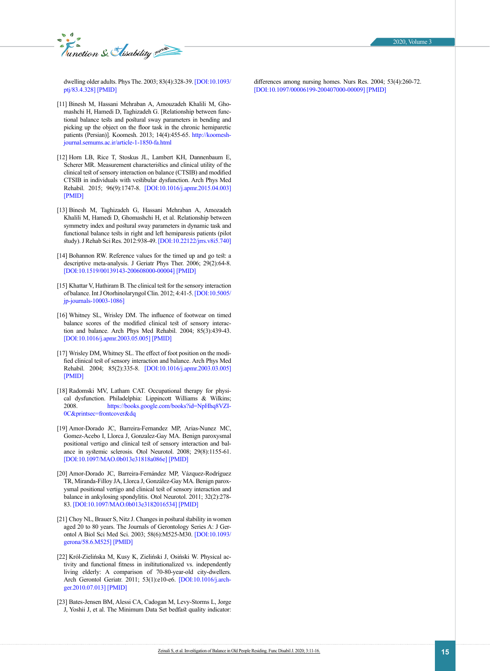*E* and Security summer

dwelling older adults. Phys The. 2003; 83(4):328-39. [[DOI:10.1093/](https://doi.org/10.1093/ptj/83.4.328) [ptj/83.4.328](https://doi.org/10.1093/ptj/83.4.328)] [\[PMID\]](https://www.ncbi.nlm.nih.gov/pubmed/12665404)

differences among nursing homes. Nurs Res. 2004; 53(4):260-72. [[DOI:10.1097/00006199-200407000-00009\]](https://doi.org/10.1097/00006199-200407000-00009) [[PMID](https://www.ncbi.nlm.nih.gov/pubmed/15266165)]

- <span id="page-4-0"></span>[11] Binesh M, Hassani Mehraban A, Amouzadeh Khalili M, Ghomashchi H, Hamedi D, Taghizadeh G. [Relationship between functional balance tests and postural sway parameters in bending and picking up the object on the floor task in the chronic hemiparetic patients (Persian)]. Koomesh. 2013; 14(4):455-65. [http://koomesh](http://koomeshjournal.semums.ac.ir/article-1-1850-fa.html)[journal.semums.ac.ir/article-1-1850-fa.html](http://koomeshjournal.semums.ac.ir/article-1-1850-fa.html)
- <span id="page-4-1"></span>[12] Horn LB, Rice T, Stoskus JL, Lambert KH, Dannenbaum E, Scherer MR. Measurement characteristics and clinical utility of the clinical test of sensory interaction on balance (CTSIB) and modified CTSIB in individuals with vestibular dysfunction. Arch Phys Med Rehabil. 2015; 96(9):1747-8. [\[DOI:10.1016/j.apmr.2015.04.003](https://doi.org/10.1016/j.apmr.2015.04.003)] [\[PMID](https://www.ncbi.nlm.nih.gov/pubmed/26550644)]
- <span id="page-4-2"></span>[13] Binesh M, Taghizadeh G, Hassani Mehraban A, Amozadeh Khalili M, Hamedi D, Ghomashchi H, et al. Relationship between symmetry index and postural sway parameters in dynamic task and functional balance tests in right and left hemiparesis patients (pilot study).J Rehab Sci Res. 2012:938-49. [\[DOI:10.22122/jrrs.v8i5.740\]](http://jrrs.mui.ac.ir/index.php/jrrs/article/view/740])
- <span id="page-4-3"></span>[14] Bohannon RW. Reference values for the timed up and go test: a descriptive meta-analysis. J Geriatr Phys Ther. 2006; 29(2):64-8. [\[DOI:10.1519/00139143-200608000-00004\]](https://doi.org/10.1519/00139143-200608000-00004) [\[PMID](https://www.ncbi.nlm.nih.gov/pubmed/16914068)]
- <span id="page-4-4"></span>[15] Khattar V, Hathiram B. The clinical test for the sensory interaction of balance. Int J Otorhinolaryngol Clin. 2012; 4:41-5. [[DOI:10.5005/](https://doi.org/10.5005/jp-journals-10003-1086) [jp-journals-10003-1086](https://doi.org/10.5005/jp-journals-10003-1086)]
- [16] Whitney SL, Wrisley DM. The influence of footwear on timed balance scores of the modified clinical test of sensory interaction and balance. Arch Phys Med Rehabil. 2004; 85(3):439-43. [\[DOI:10.1016/j.apmr.2003.05.005\]](https://doi.org/10.1016/j.apmr.2003.05.005) [[PMID](https://www.ncbi.nlm.nih.gov/pubmed/15031830)]
- [17] Wrisley DM, Whitney SL. The effect of foot position on the modified clinical test of sensory interaction and balance. Arch Phys Med Rehabil. 2004; 85(2):335-8. [\[DOI:10.1016/j.apmr.2003.03.005](https://doi.org/10.1016/j.apmr.2003.03.005)] [\[PMID](https://www.ncbi.nlm.nih.gov/pubmed/14966723)]
- <span id="page-4-5"></span>[18] Radomski MV, Latham CAT. Occupational therapy for physical dysfunction. Philadelphia: Lippincott Williams & Wilkins; 2008. [https://books.google.com/books?id=NpHhq8VZI-](https://books.google.com/books?id=NpHhq8VZI-0C&printsec=frontcover&dq=Occupational+therapy+for+physical+dysfunction&hl=en&sa=X&ved=2ahUKEwiwmKrf69TsAhWKTBUIHWriCJ8Q6AEwAHoECAYQAg#v=onepage&q=Occupational%20therapy%20for%20physical%20dysfunction&f=false)[0C&printsec=frontcover&dq](https://books.google.com/books?id=NpHhq8VZI-0C&printsec=frontcover&dq=Occupational+therapy+for+physical+dysfunction&hl=en&sa=X&ved=2ahUKEwiwmKrf69TsAhWKTBUIHWriCJ8Q6AEwAHoECAYQAg#v=onepage&q=Occupational%20therapy%20for%20physical%20dysfunction&f=false)
- <span id="page-4-6"></span>[19] Amor-Dorado JC, Barreira-Fernandez MP, Arias-Nunez MC, Gomez-Acebo I, Llorca J, Gonzalez-Gay MA. Benign paroxysmal positional vertigo and clinical test of sensory interaction and balance in systemic sclerosis. Otol Neurotol. 2008; 29(8):1155-61. [\[DOI:10.1097/MAO.0b013e31818a086e\]](https://doi.org/10.1097/MAO.0b013e31818a086e) [\[PMID\]](https://www.ncbi.nlm.nih.gov/pubmed/18833021)
- [20] Amor-Dorado JC, Barreira-Fernández MP, Vázquez-Rodríguez TR, Miranda-Filloy JA, Llorca J, González-Gay MA. Benign paroxysmal positional vertigo and clinical test of sensory interaction and balance in ankylosing spondylitis. Otol Neurotol. 2011; 32(2):278- 83. [\[DOI:10.1097/MAO.0b013e3182016534\]](https://doi.org/10.1097/MAO.0b013e3182016534) [[PMID](https://www.ncbi.nlm.nih.gov/pubmed/21150686)]
- <span id="page-4-7"></span>[21] Choy NL, Brauer S, Nitz J. Changes in postural stability in women aged 20 to 80 years. The Journals of Gerontology Series A: J Gerontol A Biol Sci Med Sci. 2003; 58(6):M525-M30. [\[DOI:10.1093/](https://academic.oup.com/biomedgerontology/article/58/6/M525/560201) [gerona/58.6.M525\]](https://academic.oup.com/biomedgerontology/article/58/6/M525/560201) [\[PMID\]](https://www.ncbi.nlm.nih.gov/pubmed/12807923)
- [22] Król-Zielińska M, Kusy K, Zieliński J, Osiński W. Physical activity and functional fitness in institutionalized vs. independently living elderly: A comparison of 70-80-year-old city-dwellers. Arch Gerontol Geriatr. 2011; 53(1):e10-e6. [\[DOI:10.1016/j.arch](https://doi.org/10.1016/j.archger.2010.07.013)[ger.2010.07.013](https://doi.org/10.1016/j.archger.2010.07.013)] [\[PMID](https://www.ncbi.nlm.nih.gov/pubmed/21035201)]
- <span id="page-4-8"></span>[23] Bates-Jensen BM, Alessi CA, Cadogan M, Levy-Storms L, Jorge J, Yoshii J, et al. The Minimum Data Set bedfast quality indicator: